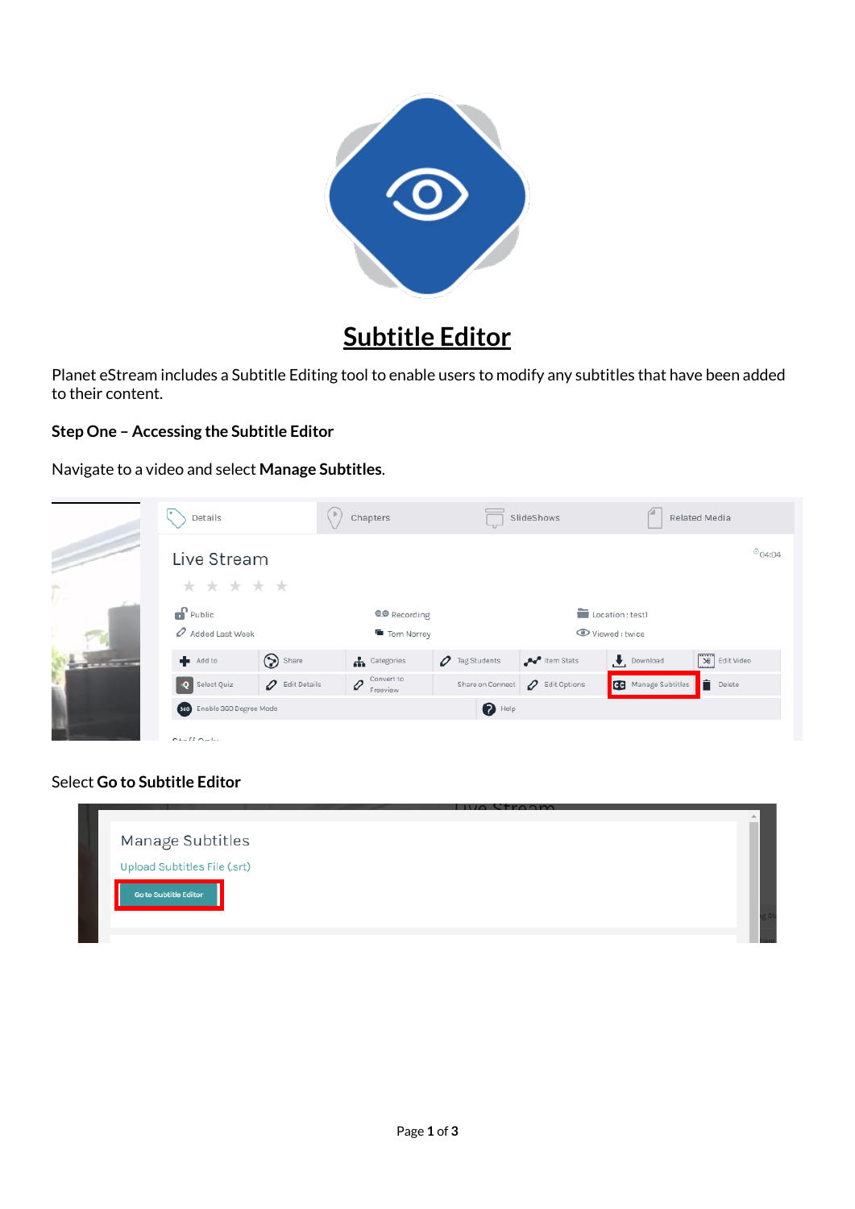

## **Subtitle Editor**

Planet eStream includes a Subtitle Editing tool to enable users to modify any subtitles that have been added to their content.

## **Step One – Accessing the Subtitle Editor**

Navigate to a video and select **Manage Subtitles**.

|                    | Details                                             |                           | Chapters                          |                  | SlideShows                       | Related Media              |                                                                                                                                                 |  |  |
|--------------------|-----------------------------------------------------|---------------------------|-----------------------------------|------------------|----------------------------------|----------------------------|-------------------------------------------------------------------------------------------------------------------------------------------------|--|--|
|                    | Live Stream<br>* * * * *                            |                           |                                   |                  |                                  |                            | <sup>©</sup> 04:04                                                                                                                              |  |  |
|                    | $\mathbf{f}$ Public<br>$\mathscr O$ Added Last Week |                           | <b>@@</b> Recording<br>Tom Norrey |                  | Location: test1<br>Viewed: twice |                            |                                                                                                                                                 |  |  |
| <b>TANK AND IN</b> | $\blacksquare$ Add to                               | Share                     | <b>A</b> Categories               | 7 Tag Students   | Item Stats                       | Download                   | $\left[\begin{array}{c}\n\boldsymbol{\triangleright}\mathbf{g} \\ \hline\n\boldsymbol{\triangleright}\mathbf{g}\n\end{array}\right]$ Edit Video |  |  |
|                    | <b>Q</b> Select Quiz                                | $\mathcal O$ Edit Details | Convert to<br>0<br>Freeview       | Share on Connect | $\mathcal O$ Edit Options        | <b>CC</b> Manage Subtitles | $\blacksquare$ Delete                                                                                                                           |  |  |
|                    | 360 Enable 360 Degree Mode                          |                           |                                   | $\bigcirc$ Help  |                                  |                            |                                                                                                                                                 |  |  |
|                    | $C + c$ ff $C$ $c$ $b$ $c$                          |                           |                                   |                  |                                  |                            |                                                                                                                                                 |  |  |

## Select **Go to Subtitle Editor**

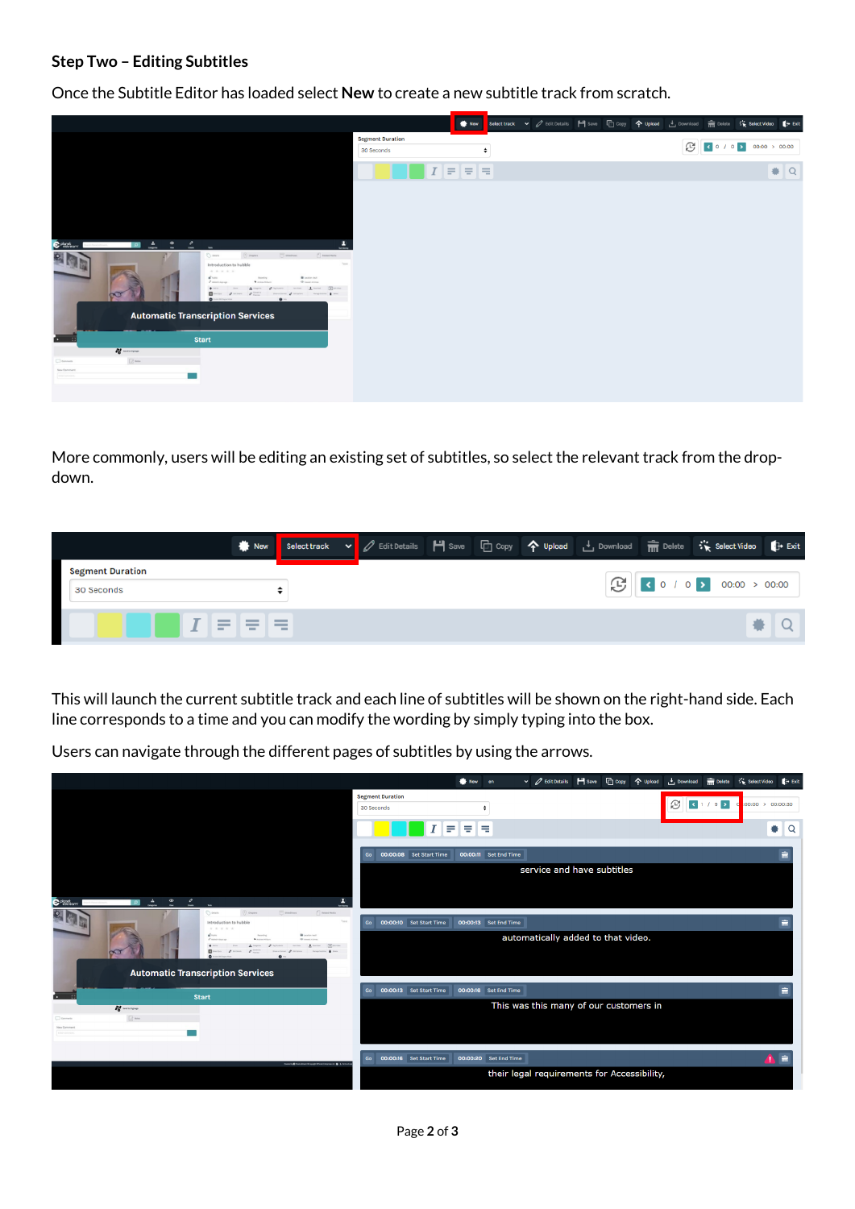## **Step Two – Editing Subtitles**

Once the Subtitle Editor has loaded select **New** to create a new subtitle track from scratch.



More commonly, users will be editing an existing set of subtitles, so select the relevant track from the dropdown.

|                         | New 7   |  |  |  |  | Select track v detit Details H Save C Copy $\bm{\hat{\gamma}}$ Upload d Download in Delete $\ddot{\bm{\hat{\gamma}}}$ Select Video d E Exit |  |
|-------------------------|---------|--|--|--|--|---------------------------------------------------------------------------------------------------------------------------------------------|--|
| <b>Segment Duration</b> |         |  |  |  |  | $\left \bigoplus_{i=1}^n\right $ ( 0 / 0 } 00:00 > 00:00                                                                                    |  |
| 30 Seconds              |         |  |  |  |  |                                                                                                                                             |  |
| $\blacksquare$          | [로디도] 코 |  |  |  |  |                                                                                                                                             |  |

This will launch the current subtitle track and each line of subtitles will be shown on the right-hand side. Each line corresponds to a time and you can modify the wording by simply typing into the box.

Users can navigate through the different pages of subtitles by using the arrows.

|                                                                                                                                                                                |                                       | <b>New</b><br>en en   | $\checkmark$ Edit Details                   | H Save In Copy 个 Upload t Download |   | <b>THE Delete</b> | Select Video <sup>+</sup> Exit |               |
|--------------------------------------------------------------------------------------------------------------------------------------------------------------------------------|---------------------------------------|-----------------------|---------------------------------------------|------------------------------------|---|-------------------|--------------------------------|---------------|
|                                                                                                                                                                                | <b>Segment Duration</b><br>30 Seconds | 듷<br>÷<br>₹           |                                             |                                    | G | 1/9               | 00:00 > 00:00:30               | $\Omega$<br>۰ |
| $\Delta$<br>$\bullet$<br>C <sup>plonet</sup> on<br>$\overline{\phantom{a}}$                                                                                                    | 00:00:08 Set Start Time<br>Go         | 00:00:11 Set End Time |                                             | service and have subtitles         |   |                   |                                | 肅             |
| [ <sup>2</sup> ] housemore<br><b>TT</b> steepiece<br>$9$ channel<br>otals <sup>2</sup><br>Introduction to hubble<br>*****<br>di nav<br><b>Automatic Transcription Services</b> | 00:00:10 Set Start Time<br>Go         | 00:00:13 Set End Time |                                             | automatically added to that video. |   |                   |                                | 肅             |
| <b>Start</b><br><b>N</b> Secretary<br>$\sqrt{2}$ were<br>New Comment<br>Enter comment                                                                                          | 00:00:13 Set Start Time<br>Go         | 00:00:16 Set End Time | This was this many of our customers in      |                                    |   |                   |                                | 亩             |
| <b>Newsley@flood closer Rissyngh Disease Integrates of @ 36 Note of an</b>                                                                                                     | 00:00:16 Set Start Time<br>Go         | 00:00:20 Set End Time | their legal requirements for Accessibility, |                                    |   |                   |                                | 肅             |